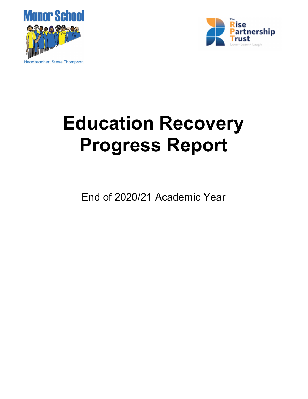



# Education Recovery Progress Report

End of 2020/21 Academic Year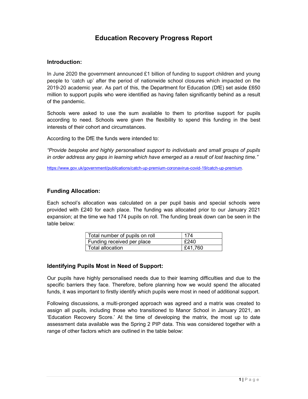## Education Recovery Progress Report

## Introduction:

In June 2020 the government announced £1 billion of funding to support children and young people to 'catch up' after the period of nationwide school closures which impacted on the 2019-20 academic year. As part of this, the Department for Education (DfE) set aside £650 million to support pupils who were identified as having fallen significantly behind as a result of the pandemic.

Schools were asked to use the sum available to them to prioritise support for pupils according to need. Schools were given the flexibility to spend this funding in the best interests of their cohort and circumstances.

According to the DfE the funds were intended to:

"Provide bespoke and highly personalised support to individuals and small groups of pupils in order address any gaps in learning which have emerged as a result of lost teaching time."

https://www.gov.uk/government/publications/catch-up-premium-coronavirus-covid-19/catch-up-premium.

## Funding Allocation:

Each school's allocation was calculated on a per pupil basis and special schools were provided with £240 for each place. The funding was allocated prior to our January 2021 expansion; at the time we had 174 pupils on roll. The funding break down can be seen in the table below:

| Total number of pupils on roll | 174     |
|--------------------------------|---------|
| Funding received per place     | £240    |
| Total allocation               | £41,760 |

## Identifying Pupils Most in Need of Support:

Our pupils have highly personalised needs due to their learning difficulties and due to the specific barriers they face. Therefore, before planning how we would spend the allocated funds, it was important to firstly identify which pupils were most in need of additional support.

Following discussions, a multi-pronged approach was agreed and a matrix was created to assign all pupils, including those who transitioned to Manor School in January 2021, an 'Education Recovery Score.' At the time of developing the matrix, the most up to date assessment data available was the Spring 2 PIP data. This was considered together with a range of other factors which are outlined in the table below: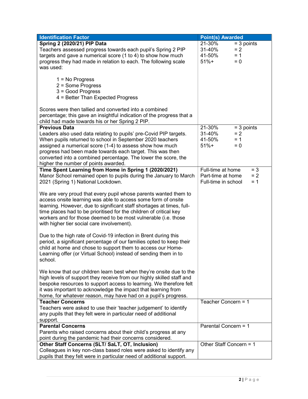| <b>Identification Factor</b>                                                                                                                | <b>Point(s)</b> Awarded |              |
|---------------------------------------------------------------------------------------------------------------------------------------------|-------------------------|--------------|
| Spring 2 (2020/21) PIP Data                                                                                                                 | 21-30%                  | $=$ 3 points |
| Teachers assessed progress towards each pupil's Spring 2 PIP                                                                                | 31-40%                  | $= 2$        |
| targets and gave a numerical score (1 to 4) to show how much                                                                                | 41-50%                  | $= 1$        |
| progress they had made in relation to each. The following scale                                                                             | $51%+$                  | $= 0$        |
| was used:                                                                                                                                   |                         |              |
|                                                                                                                                             |                         |              |
| $1 = No$ Progress                                                                                                                           |                         |              |
| 2 = Some Progress                                                                                                                           |                         |              |
| $3 = Good Progress$                                                                                                                         |                         |              |
| 4 = Better Than Expected Progress                                                                                                           |                         |              |
| Scores were then tallied and converted into a combined                                                                                      |                         |              |
| percentage; this gave an insightful indication of the progress that a                                                                       |                         |              |
| child had made towards his or her Spring 2 PIP.                                                                                             |                         |              |
| <b>Previous Data</b>                                                                                                                        | 21-30%                  | $=$ 3 points |
| Leaders also used data relating to pupils' pre-Covid PIP targets.                                                                           | 31-40%                  | $= 2$        |
| When pupils returned to school in September 2020 teachers                                                                                   | 41-50%                  | $= 1$        |
| assigned a numerical score (1-4) to assess show how much                                                                                    | $51%+$                  | $= 0$        |
| progress had been made towards each target. This was then                                                                                   |                         |              |
| converted into a combined percentage. The lower the score, the                                                                              |                         |              |
| higher the number of points awarded.                                                                                                        |                         |              |
| Time Spent Learning from Home in Spring 1 (2020/2021)                                                                                       | Full-time at home       | $= 3$        |
| Manor School remained open to pupils during the January to March                                                                            | Part-time at home       | $= 2$        |
| 2021 (Spring 1) National Lockdown.                                                                                                          | Full-time in school     | $= 1$        |
|                                                                                                                                             |                         |              |
| We are very proud that every pupil whose parents wanted them to                                                                             |                         |              |
| access onsite learning was able to access some form of onsite                                                                               |                         |              |
| learning. However, due to significant staff shortages at times, full-<br>time places had to be prioritised for the children of critical key |                         |              |
| workers and for those deemed to be most vulnerable (i.e. those                                                                              |                         |              |
| with higher tier social care involvement).                                                                                                  |                         |              |
|                                                                                                                                             |                         |              |
| Due to the high rate of Covid-19 infection in Brent during this                                                                             |                         |              |
| period, a significant percentage of our families opted to keep their                                                                        |                         |              |
| child at home and chose to support them to access our Home-                                                                                 |                         |              |
| Learning offer (or Virtual School) instead of sending them in to                                                                            |                         |              |
| school.                                                                                                                                     |                         |              |
|                                                                                                                                             |                         |              |
| We know that our children learn best when they're onsite due to the                                                                         |                         |              |
| high levels of support they receive from our highly skilled staff and                                                                       |                         |              |
| bespoke resources to support access to learning. We therefore felt                                                                          |                         |              |
| it was important to acknowledge the impact that learning from                                                                               |                         |              |
| home, for whatever reason, may have had on a pupil's progress.                                                                              |                         |              |
| <b>Teacher Concerns</b>                                                                                                                     | Teacher Concern = 1     |              |
| Teachers were asked to use their 'teacher judgement' to identify                                                                            |                         |              |
| any pupils that they felt were in particular need of additional                                                                             |                         |              |
| support.<br><b>Parental Concerns</b>                                                                                                        | Parental Concern = 1    |              |
| Parents who raised concerns about their child's progress at any                                                                             |                         |              |
| point during the pandemic had their concerns considered.                                                                                    |                         |              |
| Other Staff Concerns (SLT/ SaLT, OT, Inclusion)                                                                                             | Other Staff Concern = 1 |              |
| Colleagues in key non-class based roles were asked to identify any                                                                          |                         |              |
| pupils that they felt were in particular need of additional support.                                                                        |                         |              |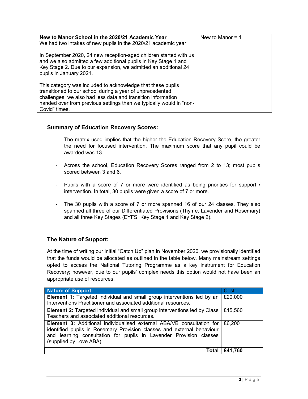| New to Manor School in the 2020/21 Academic Year<br>We had two intakes of new pupils in the 2020/21 academic year.                                                                                                                                                               | New to Manor $= 1$ |
|----------------------------------------------------------------------------------------------------------------------------------------------------------------------------------------------------------------------------------------------------------------------------------|--------------------|
| In September 2020, 24 new reception-aged children started with us<br>and we also admitted a few additional pupils in Key Stage 1 and<br>Key Stage 2. Due to our expansion, we admitted an additional 24<br>pupils in January 2021.                                               |                    |
| This category was included to acknowledge that these pupils<br>transitioned to our school during a year of unprecedented<br>challenges; we also had less data and transition information<br>handed over from previous settings than we typically would in "non-<br>Covid" times. |                    |

## Summary of Education Recovery Scores:

- The matrix used implies that the higher the Education Recovery Score, the greater the need for focused intervention. The maximum score that any pupil could be awarded was 13.
- Across the school, Education Recovery Scores ranged from 2 to 13; most pupils scored between 3 and 6.
- Pupils with a score of 7 or more were identified as being priorities for support / intervention. In total, 30 pupils were given a score of 7 or more.
- The 30 pupils with a score of 7 or more spanned 16 of our 24 classes. They also spanned all three of our Differentiated Provisions (Thyme, Lavender and Rosemary) and all three Key Stages (EYFS, Key Stage 1 and Key Stage 2).

## The Nature of Support:

At the time of writing our initial "Catch Up" plan in November 2020, we provisionally identified that the funds would be allocated as outlined in the table below. Many mainstream settings opted to access the National Tutoring Programme as a key instrument for Education Recovery; however, due to our pupils' complex needs this option would not have been an appropriate use of resources.

| <b>Nature of Support:</b>                                                                                                                                                                                                                              | Cost:           |
|--------------------------------------------------------------------------------------------------------------------------------------------------------------------------------------------------------------------------------------------------------|-----------------|
| Element 1: Targeted individual and small group interventions led by an                                                                                                                                                                                 | £20,000         |
| Interventions Practitioner and associated additional resources.                                                                                                                                                                                        |                 |
| <b>Element 2:</b> Targeted individual and small group interventions led by Class<br>Teachers and associated additional resources.                                                                                                                      | £15,560         |
| <b>Element 3:</b> Additional individualised external ABA/VB consultation for<br>identified pupils in Rosemary Provision classes and external behaviour<br>and learning consultation for pupils in Lavender Provision classes<br>(supplied by Love ABA) | £6.200          |
|                                                                                                                                                                                                                                                        | Total   £41,760 |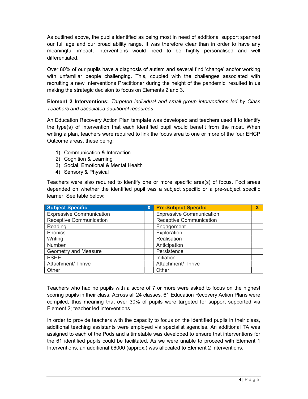As outlined above, the pupils identified as being most in need of additional support spanned our full age and our broad ability range. It was therefore clear than in order to have any meaningful impact, interventions would need to be highly personalised and well differentiated.

Over 80% of our pupils have a diagnosis of autism and several find 'change' and/or working with unfamiliar people challenging. This, coupled with the challenges associated with recruiting a new Interventions Practitioner during the height of the pandemic, resulted in us making the strategic decision to focus on Elements 2 and 3.

Element 2 Interventions: Targeted individual and small group interventions led by Class Teachers and associated additional resources

An Education Recovery Action Plan template was developed and teachers used it to identify the type(s) of intervention that each identified pupil would benefit from the most. When writing a plan, teachers were required to link the focus area to one or more of the four EHCP Outcome areas, these being:

- 1) Communication & Interaction
- 2) Cognition & Learning
- 3) Social, Emotional & Mental Health
- 4) Sensory & Physical

Teachers were also required to identify one or more specific area(s) of focus. Foci areas depended on whether the identified pupil was a subject specific or a pre-subject specific learner. See table below:

| <b>Subject Specific</b>         | $\mathsf{X}$ | <b>Pre-Subject Specific</b>     | Χ |
|---------------------------------|--------------|---------------------------------|---|
| <b>Expressive Communication</b> |              | <b>Expressive Communication</b> |   |
| Receptive Communication         |              | <b>Receptive Communication</b>  |   |
| Reading                         |              | Engagement                      |   |
| Phonics                         |              | Exploration                     |   |
| Writing                         |              | Realisation                     |   |
| <b>Number</b>                   |              | Anticipation                    |   |
| Geometry and Measure            |              | Persistence                     |   |
| <b>PSHE</b>                     |              | Initiation                      |   |
| Attachment/ Thrive              |              | Attachment/ Thrive              |   |
| Other                           |              | Other                           |   |

Teachers who had no pupils with a score of 7 or more were asked to focus on the highest scoring pupils in their class. Across all 24 classes, 61 Education Recovery Action Plans were compiled, thus meaning that over 30% of pupils were targeted for support supported via Element 2; teacher led interventions.

In order to provide teachers with the capacity to focus on the identified pupils in their class, additional teaching assistants were employed via specialist agencies. An additional TA was assigned to each of the Pods and a timetable was developed to ensure that interventions for the 61 identified pupils could be facilitated. As we were unable to proceed with Element 1 Interventions, an additional £6000 (approx.) was allocated to Element 2 Interventions.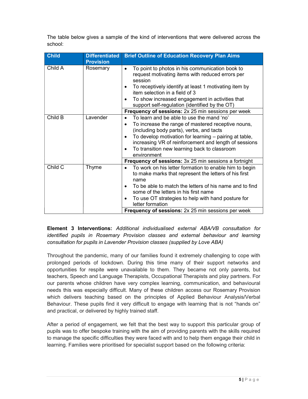The table below gives a sample of the kind of interventions that were delivered across the school:

| <b>Child</b> | <b>Differentiated</b><br><b>Provision</b> | <b>Brief Outline of Education Recovery Plan Aims</b>                                                                                                                                                                                                                                                                                            |
|--------------|-------------------------------------------|-------------------------------------------------------------------------------------------------------------------------------------------------------------------------------------------------------------------------------------------------------------------------------------------------------------------------------------------------|
| Child A      | Rosemary                                  | To point to photos in his communication book to<br>$\bullet$<br>request motivating items with reduced errors per<br>session<br>To receptively identify at least 1 motivating item by<br>٠<br>item selection in a field of 3<br>To show increased engagement in activities that<br>٠<br>support self-regulation (identified by the OT)           |
|              |                                           | <b>Frequency of sessions:</b> 2x 25 min sessions per week                                                                                                                                                                                                                                                                                       |
| Child B      | Lavender                                  | To learn and be able to use the mand 'no'<br>To increase the range of mastered receptive nouns,<br>(including body parts), verbs, and tacts<br>To develop motivation for learning – pairing at table,<br>$\bullet$<br>increasing VR of reinforcement and length of sessions<br>To transition new learning back to classroom<br>٠<br>environment |
|              |                                           | <b>Frequency of sessions:</b> 3x 25 min sessions a fortnight                                                                                                                                                                                                                                                                                    |
| Child C      | Thyme                                     | To work on his letter formation to enable him to begin<br>to make marks that represent the letters of his first<br>name<br>To be able to match the letters of his name and to find<br>٠<br>some of the letters in his first name<br>To use OT strategies to help with hand posture for<br>٠<br>letter formation                                 |
|              |                                           | <b>Frequency of sessions:</b> 2x 25 min sessions per week                                                                                                                                                                                                                                                                                       |

Element 3 Interventions: Additional individualised external ABA/VB consultation for identified pupils in Rosemary Provision classes and external behaviour and learning consultation for pupils in Lavender Provision classes (supplied by Love ABA)

Throughout the pandemic, many of our families found it extremely challenging to cope with prolonged periods of lockdown. During this time many of their support networks and opportunities for respite were unavailable to them. They became not only parents, but teachers, Speech and Language Therapists, Occupational Therapists and play partners. For our parents whose children have very complex learning, communication, and behavioural needs this was especially difficult. Many of these children access our Rosemary Provision which delivers teaching based on the principles of Applied Behaviour Analysis/Verbal Behaviour. These pupils find it very difficult to engage with learning that is not "hands on" and practical, or delivered by highly trained staff.

After a period of engagement, we felt that the best way to support this particular group of pupils was to offer bespoke training with the aim of providing parents with the skills required to manage the specific difficulties they were faced with and to help them engage their child in learning. Families were prioritised for specialist support based on the following criteria: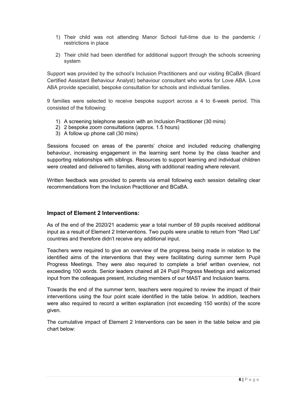- 1) Their child was not attending Manor School full-time due to the pandemic / restrictions in place
- 2) Their child had been identified for additional support through the schools screening system

Support was provided by the school's Inclusion Practitioners and our visiting BCaBA (Board Certified Assistant Behaviour Analyst) behaviour consultant who works for Love ABA. Love ABA provide specialist, bespoke consultation for schools and individual families.

9 families were selected to receive bespoke support across a 4 to 6-week period. This consisted of the following:

- 1) A screening telephone session with an Inclusion Practitioner (30 mins)
- 2) 2 bespoke zoom consultations (approx. 1.5 hours)
- 3) A follow up phone call (30 mins)

Sessions focused on areas of the parents' choice and included reducing challenging behaviour, increasing engagement in the learning sent home by the class teacher and supporting relationships with siblings. Resources to support learning and individual children were created and delivered to families, along with additional reading where relevant.

Written feedback was provided to parents via email following each session detailing clear recommendations from the Inclusion Practitioner and BCaBA.

## Impact of Element 2 Interventions:

As of the end of the 2020/21 academic year a total number of 59 pupils received additional input as a result of Element 2 Interventions. Two pupils were unable to return from "Red List" countries and therefore didn't receive any additional input.

Teachers were required to give an overview of the progress being made in relation to the identified aims of the interventions that they were facilitating during summer term Pupil Progress Meetings. They were also required to complete a brief written overview, not exceeding 100 words. Senior leaders chaired all 24 Pupil Progress Meetings and welcomed input from the colleagues present, including members of our MAST and Inclusion teams.

Towards the end of the summer term, teachers were required to review the impact of their interventions using the four point scale identified in the table below. In addition, teachers were also required to record a written explanation (not exceeding 150 words) of the score given.

The cumulative impact of Element 2 Interventions can be seen in the table below and pie chart below: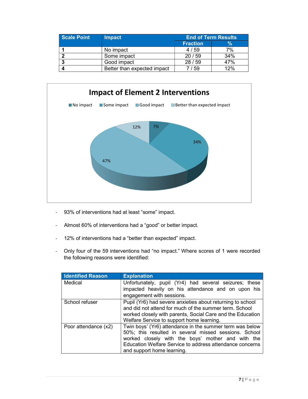| <b>Scale Point</b> | <b>Impact</b>               | <b>End of Term Results</b> |     |
|--------------------|-----------------------------|----------------------------|-----|
|                    |                             | <b>Fraction</b>            | %   |
|                    | No impact                   | 4/59                       | 7%  |
|                    | Some impact                 | 20/59                      | 34% |
|                    | Good impact                 | 28/59                      | 47% |
|                    | Better than expected impact | ' 59                       | 12% |



- 93% of interventions had at least "some" impact.
- Almost 60% of interventions had a "good" or better impact.
- 12% of interventions had a "better than expected" impact.
- Only four of the 59 interventions had "no impact." Where scores of 1 were recorded the following reasons were identified:

| <b>Identified Reason</b> | <b>Explanation</b>                                                                                                                                                                                                                                               |
|--------------------------|------------------------------------------------------------------------------------------------------------------------------------------------------------------------------------------------------------------------------------------------------------------|
| Medical                  | Unfortunately, pupil (Yr4) had several seizures; these<br>impacted heavily on his attendance and on upon his                                                                                                                                                     |
|                          | engagement with sessions.                                                                                                                                                                                                                                        |
| School refuser           | Pupil (Yr6) had severe anxieties about returning to school<br>and did not attend for much of the summer term. School<br>worked closely with parents, Social Care and the Education<br>Welfare Service to support home learning.                                  |
| Poor attendance (x2)     | Twin boys' (Yr6) attendance in the summer term was below<br>50%; this resulted in several missed sessions. School<br>worked closely with the boys' mother and with the<br>Education Welfare Service to address attendance concerns<br>and support home learning. |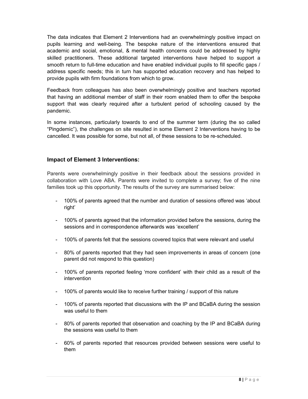The data indicates that Element 2 Interventions had an overwhelmingly positive impact on pupils learning and well-being. The bespoke nature of the interventions ensured that academic and social, emotional, & mental health concerns could be addressed by highly skilled practitioners. These additional targeted interventions have helped to support a smooth return to full-time education and have enabled individual pupils to fill specific gaps / address specific needs; this in turn has supported education recovery and has helped to provide pupils with firm foundations from which to grow.

Feedback from colleagues has also been overwhelmingly positive and teachers reported that having an additional member of staff in their room enabled them to offer the bespoke support that was clearly required after a turbulent period of schooling caused by the pandemic.

In some instances, particularly towards to end of the summer term (during the so called "Pingdemic"), the challenges on site resulted in some Element 2 Interventions having to be cancelled. It was possible for some, but not all, of these sessions to be re-scheduled.

## Impact of Element 3 Interventions:

Parents were overwhelmingly positive in their feedback about the sessions provided in collaboration with Love ABA. Parents were invited to complete a survey; five of the nine families took up this opportunity. The results of the survey are summarised below:

- 100% of parents agreed that the number and duration of sessions offered was 'about right'
- 100% of parents agreed that the information provided before the sessions, during the sessions and in correspondence afterwards was 'excellent'
- 100% of parents felt that the sessions covered topics that were relevant and useful
- 80% of parents reported that they had seen improvements in areas of concern (one parent did not respond to this question)
- 100% of parents reported feeling 'more confident' with their child as a result of the intervention
- 100% of parents would like to receive further training / support of this nature
- 100% of parents reported that discussions with the IP and BCaBA during the session was useful to them
- 80% of parents reported that observation and coaching by the IP and BCaBA during the sessions was useful to them
- 60% of parents reported that resources provided between sessions were useful to them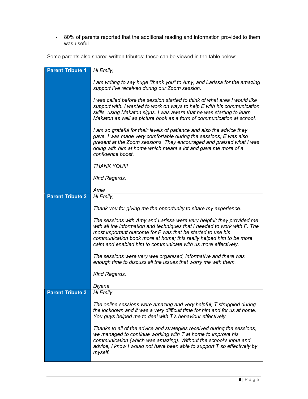- 80% of parents reported that the additional reading and information provided to them was useful

Some parents also shared written tributes; these can be viewed in the table below:

| <b>Parent Tribute 1</b> | Hi Emily,                                                                                                                                                                                                                                                                                                                                                |
|-------------------------|----------------------------------------------------------------------------------------------------------------------------------------------------------------------------------------------------------------------------------------------------------------------------------------------------------------------------------------------------------|
|                         |                                                                                                                                                                                                                                                                                                                                                          |
|                         | I am writing to say huge "thank you" to Amy, and Larissa for the amazing<br>support I've received during our Zoom session.                                                                                                                                                                                                                               |
|                         | I was called before the session started to think of what area I would like<br>support with. I wanted to work on ways to help E with his communication<br>skills, using Makaton signs. I was aware that he was starting to learn<br>Makaton as well as picture book as a form of communication at school.                                                 |
|                         | I am so grateful for their levels of patience and also the advice they<br>gave. I was made very comfortable during the sessions; E was also<br>present at the Zoom sessions. They encouraged and praised what I was<br>doing with him at home which meant a lot and gave me more of a<br>confidence boost.                                               |
|                         | <b>THANK YOU!!!</b>                                                                                                                                                                                                                                                                                                                                      |
|                         | Kind Regards,                                                                                                                                                                                                                                                                                                                                            |
|                         |                                                                                                                                                                                                                                                                                                                                                          |
| <b>Parent Tribute 2</b> | Amie<br>Hi Emily,                                                                                                                                                                                                                                                                                                                                        |
|                         |                                                                                                                                                                                                                                                                                                                                                          |
|                         | Thank you for giving me the opportunity to share my experience.                                                                                                                                                                                                                                                                                          |
|                         | The sessions with Amy and Larissa were very helpful; they provided me<br>with all the information and techniques that I needed to work with F. The<br>most important outcome for F was that he started to use his<br>communication book more at home; this really helped him to be more<br>calm and enabled him to communicate with us more effectively. |
|                         | The sessions were very well organised, informative and there was<br>enough time to discuss all the issues that worry me with them.                                                                                                                                                                                                                       |
|                         | Kind Regards,                                                                                                                                                                                                                                                                                                                                            |
|                         | Diyana                                                                                                                                                                                                                                                                                                                                                   |
| <b>Parent Tribute 3</b> | Hi Emily                                                                                                                                                                                                                                                                                                                                                 |
|                         | The online sessions were amazing and very helpful; T struggled during<br>the lockdown and it was a very difficult time for him and for us at home.<br>You guys helped me to deal with T's behaviour effectively.                                                                                                                                         |
|                         | Thanks to all of the advice and strategies received during the sessions,<br>we managed to continue working with T at home to improve his<br>communication (which was amazing). Without the school's input and<br>advice, I know I would not have been able to support T so effectively by<br>myself.                                                     |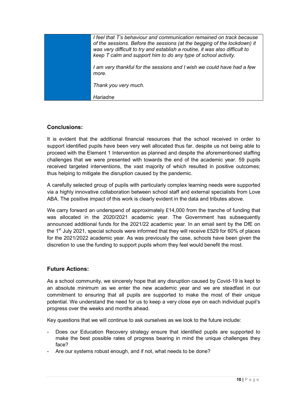| I feel that T's behaviour and communication remained on track because<br>of the sessions. Before the sessions (at the begging of the lockdown) it<br>was very difficult to try and establish a routine, it was also difficult to<br>keep T calm and support him to do any type of school activity. |
|----------------------------------------------------------------------------------------------------------------------------------------------------------------------------------------------------------------------------------------------------------------------------------------------------|
| I am very thankful for the sessions and I wish we could have had a few<br>more.                                                                                                                                                                                                                    |
| Thank you very much.                                                                                                                                                                                                                                                                               |
| Hariadne                                                                                                                                                                                                                                                                                           |

## Conclusions:

It is evident that the additional financial resources that the school received in order to support identified pupils have been very well allocated thus far, despite us not being able to proceed with the Element 1 Intervention as planned and despite the aforementioned staffing challenges that we were presented with towards the end of the academic year. 59 pupils received targeted interventions, the vast majority of which resulted in positive outcomes; thus helping to mitigate the disruption caused by the pandemic.

A carefully selected group of pupils with particularly complex learning needs were supported via a highly innovative collaboration between school staff and external specialists from Love ABA. The positive impact of this work is clearly evident in the data and tributes above.

We carry forward an underspend of approximately £14,000 from the tranche of funding that was allocated in the 2020/2021 academic year. The Government has subsequently announced additional funds for the 2021/22 academic year. In an email sent by the DfE on the 1<sup>st</sup> July 2021, special schools were informed that they will receive £529 for 60% of places for the 2021/2022 academic year. As was previously the case, schools have been given the discretion to use the funding to support pupils whom they feel would benefit the most.

#### Future Actions:

As a school community, we sincerely hope that any disruption caused by Covid-19 is kept to an absolute minimum as we enter the new academic year and we are steadfast in our commitment to ensuring that all pupils are supported to make the most of their unique potential. We understand the need for us to keep a very close eye on each individual pupil's progress over the weeks and months ahead.

Key questions that we will continue to ask ourselves as we look to the future include:

- Does our Education Recovery strategy ensure that identified pupils are supported to make the best possible rates of progress bearing in mind the unique challenges they face?
- Are our systems robust enough, and if not, what needs to be done?